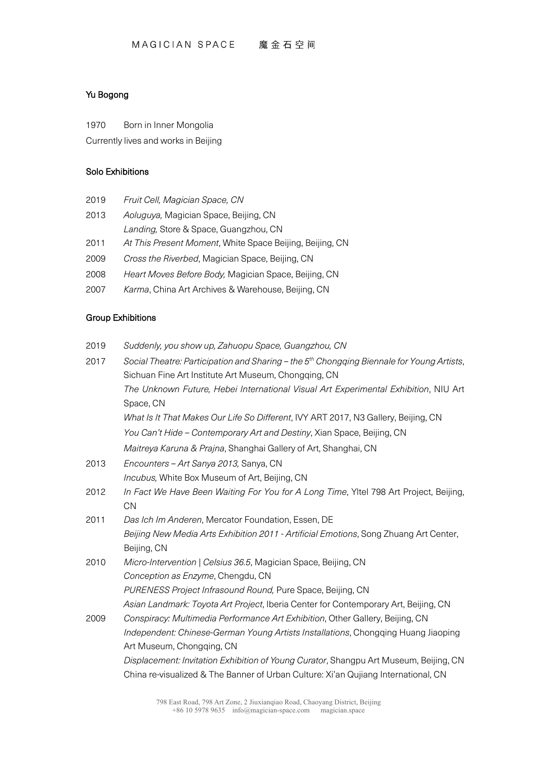# Yu Bogong

1970 Born in Inner Mongolia

Currently lives and works in Beijing

#### Solo Exhibitions

- 2019 *Fruit Cell, Magician Space, CN*
- 2013 *Aoluguya,* Magician Space, Beijing, CN *Landing,* Store & Space, Guangzhou, CN
- 2011 *At This Present Moment*, White Space Beijing, Beijing, CN
- 2009 *Cross the Riverbed*, Magician Space, Beijing, CN
- 2008 *Heart Moves Before Body,* Magician Space, Beijing, CN
- 2007 *Karma*, China Art Archives & Warehouse, Beijing, CN

## Group Exhibitions

2019 *Suddenly, you show up, Zahuopu Space, Guangzhou, CN*

| 2017 | Social Theatre: Participation and Sharing - the 5 <sup>th</sup> Chongqing Biennale for Young Artists, |
|------|-------------------------------------------------------------------------------------------------------|
|      | Sichuan Fine Art Institute Art Museum, Chongqing, CN                                                  |
|      | The Unknown Future, Hebei International Visual Art Experimental Exhibition, NIU Art                   |
|      | Space, CN                                                                                             |
|      | What Is It That Makes Our Life So Different, IVY ART 2017, N3 Gallery, Beijing, CN                    |
|      | You Can't Hide - Contemporary Art and Destiny, Xian Space, Beijing, CN                                |
|      | Maitreya Karuna & Prajna, Shanghai Gallery of Art, Shanghai, CN                                       |
| 2013 | Encounters - Art Sanya 2013, Sanya, CN                                                                |
|      | <i>Incubus</i> , White Box Museum of Art, Beijing, CN                                                 |
| 2012 | In Fact We Have Been Waiting For You for A Long Time, YItel 798 Art Project, Beijing,                 |
|      | <b>CN</b>                                                                                             |
| 2011 | Das Ich Im Anderen, Mercator Foundation, Essen, DE                                                    |
|      | Beijing New Media Arts Exhibition 2011 - Artificial Emotions, Song Zhuang Art Center,                 |
|      | Beijing, CN                                                                                           |
| 2010 | Micro-Intervention   Celsius 36.5, Magician Space, Beijing, CN                                        |
|      | Conception as Enzyme, Chengdu, CN                                                                     |
|      | PURENESS Project Infrasound Round, Pure Space, Beijing, CN                                            |
|      | Asian Landmark: Toyota Art Project, Iberia Center for Contemporary Art, Beijing, CN                   |
| 2009 | Conspiracy: Multimedia Performance Art Exhibition, Other Gallery, Beijing, CN                         |
|      | Independent: Chinese-German Young Artists Installations, Chongqing Huang Jiaoping                     |
|      | Art Museum, Chongging, CN                                                                             |
|      | Displacement: Invitation Exhibition of Young Curator, Shangpu Art Museum, Beijing, CN                 |
|      | China re-visualized & The Banner of Urban Culture: Xi'an Qujiang International, CN                    |
|      |                                                                                                       |